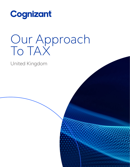

# Our Approach To TAX

United Kingdom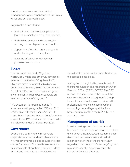Integrity, compliance with laws, ethical behaviour, and good conduct are central to our values and our approach to tax.

Cognizant is committed to:

- Acting in accordance with applicable tax law in all jurisdictions in which we operate.
- Maintaining an open and constructive working relationship with tax authorities.
- Supporting efforts to increase trust and understanding of the tax system.
- Ensuring effective tax management processes and controls.

## **Scope**

This document applies to Cognizant Worldwide Limited and other UK companies (referred collectively as "Cognizant UK") which are direct or indirect subsidiaries of Cognizant Technology Solutions Corporation ("CTSC"). CTSC and its consolidated group of companies, including Cognizant UK, are referred to herein as "Cognizant".

This document has been published in accordance with paragraphs 16(4) and 20(1) of Schedule 19 to the Finance Act 2016. It covers both direct and indirect taxes, including corporate tax, PAYE and VAT, and relates to the financial year ended 31 December 2021.

### **Governance**

Cognizant is committed to responsible corporate behaviour and as such maintains internal governance policies to support its tax control framework. Our goal is to ensure that we comply with all applicable tax laws. All tax returns and payments are expected to be

submitted to the respective tax authorities by the applicable deadlines.

At Cognizant, the global tax team is part of the finance function and reports to the Chief Financial Officer (CFO) of CTSC. The CFO receives frequent updates throughout the year from the tax team. Cognizant's Group Head of Tax leads a team of experienced tax professionals, who hold a combination of accounting, tax and legal qualifications, based predominantly in the USA, UK, India and Singapore.

## **Management of tax risk**

In an increasingly complex international business environment, some degree of risk and uncertainty is inevitable. Cognizant manages risks in a proactive manner and seeks to minimise risk. In the event of uncertainty regarding interpretation of a tax law, Cognizant may seek specialist advice to ensure the correct application of the law.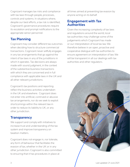Cognizant manages tax risks and compliance with tax laws through people, processes, controls and systems. In situations where, despite our best efforts, a tax risk is identified, Cognizant's governance procedures require its escalation and prompt notifications to the appropriate senior personnel.

## **Tax Planning**

Cognizant may consider different tax outcomes when deciding how to structure commercial transactions. Cognizant never willfully engages in any tax arrangements that go against the intent of tax laws in any of the jurisditions in which it operates. Tax decisions are always made with sound judgment, in the context of the substantive business transactions with which they are concerned and in full compliance with applicable laws in the UK and all other relevant jurisdictions.

Cognizant's tax positions and reporting reflect the business activities undertaken in the UK and elsewhere. Cognizant does not enter into artificial, contrived or abusive tax arrangements, nor do we seek to exploit shortcomings within the relevant law in order to reduce its liability to UK, or any other jurisdiction.

## **Transparency**

We support and comply with initiatives to increase trust and understanding of the tax system and improve transparency on taxation matters.

Cognizant does not engage in, nor tolerate, any form of behaviour that facilitates the evasion of tax, whether in the UK or in any other jurisdiction. Cognizant is also committed to ensuring that it has procedures in place at

all times aimed at preventing tax evasion by anyone acting on its behalf.

### **Engagement with Tax Authorities**

Given the increasing complexity of tax laws and regulations around the world, local tax authorities may challenge some of the judgements which Cognizant has made or our interpretation of local tax law. We therefore believe in an open, proactive and cooperative dialogue with tax authorities to ensure agreement on interpretation of law. We will be transparent in all our dealings with tax authorities and other regulators.